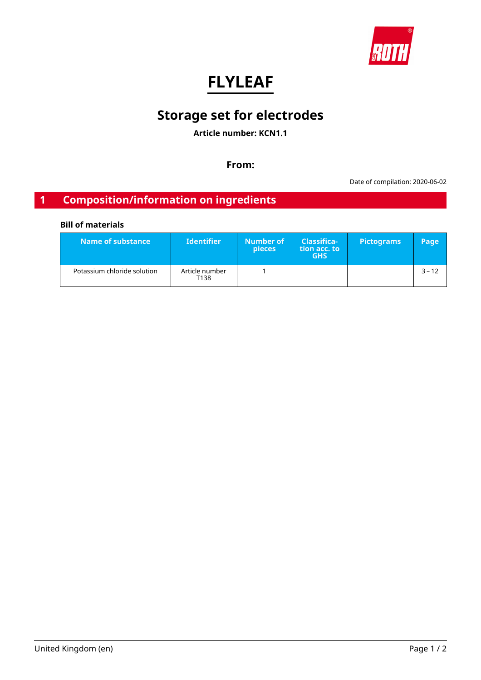

# **FLYLEAF**

# **Storage set for electrodes**

**Article number: KCN1.1**

**From:**

Date of compilation: 2020-06-02

## **1 Composition/information on ingredients**

## **Bill of materials**

| Name of substance           | <b>Identifier</b>      | Number of<br><b>pieces</b> | <b>Classifica-</b><br>tion acc. to<br><b>GHS</b> | <b>Pictograms</b> | Page     |
|-----------------------------|------------------------|----------------------------|--------------------------------------------------|-------------------|----------|
| Potassium chloride solution | Article number<br>T138 |                            |                                                  |                   | $3 - 12$ |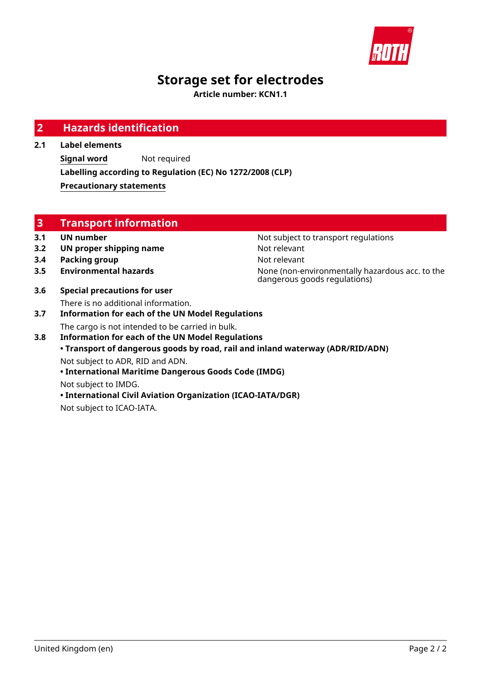

# **Storage set for electrodes**

**Article number: KCN1.1**

| $\overline{2}$ | <b>Hazards identification</b>                                                                               |                                                                                 |
|----------------|-------------------------------------------------------------------------------------------------------------|---------------------------------------------------------------------------------|
| 2.1            | <b>Label elements</b>                                                                                       |                                                                                 |
|                | <b>Signal word</b><br>Not required                                                                          |                                                                                 |
|                | Labelling according to Regulation (EC) No 1272/2008 (CLP)                                                   |                                                                                 |
|                | <b>Precautionary statements</b>                                                                             |                                                                                 |
|                |                                                                                                             |                                                                                 |
|                |                                                                                                             |                                                                                 |
| 3              | <b>Transport information</b>                                                                                |                                                                                 |
| 3.1            | <b>UN number</b>                                                                                            | Not subject to transport regulations                                            |
| 3.2            | UN proper shipping name                                                                                     | Not relevant                                                                    |
| 3.4            | <b>Packing group</b>                                                                                        | Not relevant                                                                    |
| 3.5            | <b>Environmental hazards</b>                                                                                | None (non-environmentally hazardous acc. to the<br>dangerous goods regulations) |
| 3.6            | <b>Special precautions for user</b>                                                                         |                                                                                 |
| 3.7            | There is no additional information.<br><b>Information for each of the UN Model Regulations</b>              |                                                                                 |
| 3.8            | The cargo is not intended to be carried in bulk.<br><b>Information for each of the UN Model Regulations</b> |                                                                                 |
|                |                                                                                                             | • Transport of dangerous goods by road, rail and inland waterway (ADR/RID/ADN)  |
|                | Not subject to ADR, RID and ADN.                                                                            |                                                                                 |
|                | • International Maritime Dangerous Goods Code (IMDG)                                                        |                                                                                 |
|                | Not subject to IMDG.                                                                                        |                                                                                 |
|                | • International Civil Aviation Organization (ICAO-IATA/DGR)                                                 |                                                                                 |

Not subject to ICAO-IATA.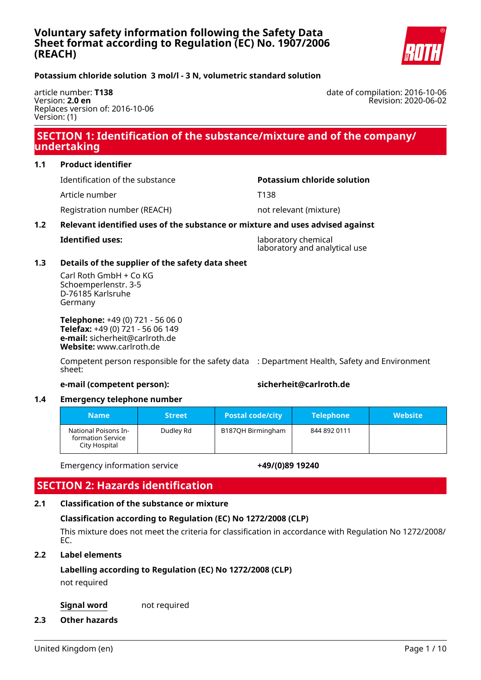

## <span id="page-2-0"></span>**Potassium chloride solution 3 mol/l - 3 N, volumetric standard solution**

article number: **T138** Version: **2.0 en** Replaces version of: 2016-10-06 Version: (1)

## **SECTION 1: Identification of the substance/mixture and of the company/ undertaking**

## **1.1 Product identifier**

Identification of the substance **Potassium chloride solution**

Article number T138

Registration number (REACH) not relevant (mixture)

## **1.2 Relevant identified uses of the substance or mixture and uses advised against**

**Identified uses:** laboratory chemical laboratory and analytical use

## **1.3 Details of the supplier of the safety data sheet**

Carl Roth GmbH + Co KG Schoemperlenstr. 3-5 D-76185 Karlsruhe Germany

**Telephone:** +49 (0) 721 - 56 06 0 **Telefax:** +49 (0) 721 - 56 06 149 **e-mail:** sicherheit@carlroth.de **Website:** www.carlroth.de

Competent person responsible for the safety data : Department Health, Safety and Environment sheet:

## **e-mail (competent person): sicherheit@carlroth.de**

## **1.4 Emergency telephone number**

| <b>Name</b>                                                | <b>Street</b> | <b>Postal code/city</b> | <b>Telephone</b> | <b>Website</b> |
|------------------------------------------------------------|---------------|-------------------------|------------------|----------------|
| National Poisons In-<br>formation Service<br>City Hospital | Dudley Rd     | B187QH Birmingham       | 844 892 0111     |                |

Emergency information service **+49/(0)89 19240**

## **SECTION 2: Hazards identification**

## **2.1 Classification of the substance or mixture**

## **Classification according to Regulation (EC) No 1272/2008 (CLP)**

This mixture does not meet the criteria for classification in accordance with Regulation No 1272/2008/ EC.

## **2.2 Label elements**

## **Labelling according to Regulation (EC) No 1272/2008 (CLP)**

not required

**Signal word** not required

**2.3 Other hazards**

date of compilation: 2016-10-06 Revision: 2020-06-02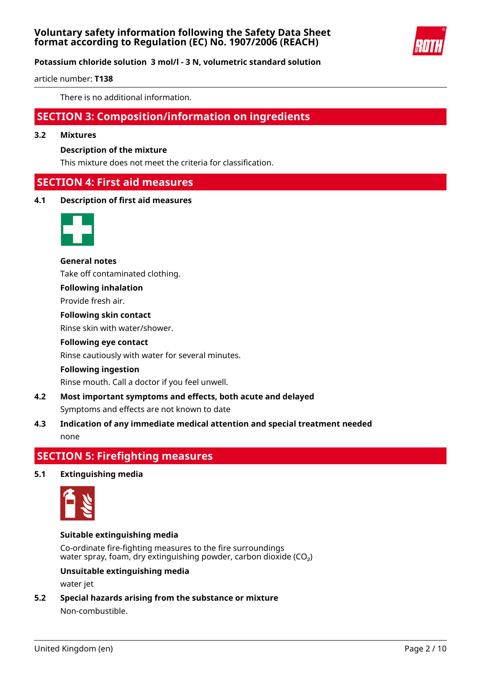

## **Potassium chloride solution 3 mol/l - 3 N, volumetric standard solution**

article number: **T138**

There is no additional information.

## **SECTION 3: Composition/information on ingredients**

#### **3.2 Mixtures**

## **Description of the mixture**

This mixture does not meet the criteria for classification.

## **SECTION 4: First aid measures**

**4.1 Description of first aid measures**



**General notes** Take off contaminated clothing.

## **Following inhalation**

Provide fresh air.

#### **Following skin contact**

Rinse skin with water/shower.

## **Following eye contact**

Rinse cautiously with water for several minutes.

#### **Following ingestion**

Rinse mouth. Call a doctor if you feel unwell.

- **4.2 Most important symptoms and effects, both acute and delayed** Symptoms and effects are not known to date
- **4.3 Indication of any immediate medical attention and special treatment needed** none

## **SECTION 5: Firefighting measures**

## **5.1 Extinguishing media**



## **Suitable extinguishing media**

Co-ordinate fire-fighting measures to the fire surroundings water spray, foam, dry extinguishing powder, carbon dioxide (CO₂)

#### **Unsuitable extinguishing media**

water jet

**5.2 Special hazards arising from the substance or mixture** Non-combustible.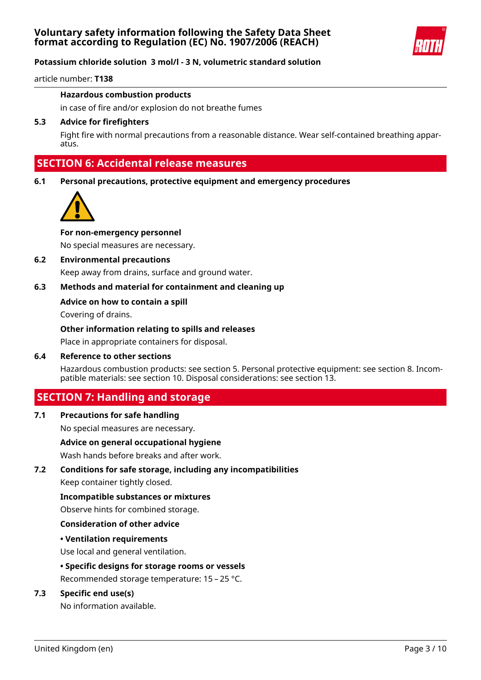

article number: **T138**

## **Hazardous combustion products**

in case of fire and/or explosion do not breathe fumes

## **5.3 Advice for firefighters**

Fight fire with normal precautions from a reasonable distance. Wear self-contained breathing apparatus.

## **SECTION 6: Accidental release measures**

**6.1 Personal precautions, protective equipment and emergency procedures**



#### **For non-emergency personnel**

No special measures are necessary.

## **6.2 Environmental precautions**

Keep away from drains, surface and ground water.

## **6.3 Methods and material for containment and cleaning up**

#### **Advice on how to contain a spill**

Covering of drains.

#### **Other information relating to spills and releases**

Place in appropriate containers for disposal.

#### **6.4 Reference to other sections**

Hazardous combustion products: see section 5. Personal protective equipment: see section 8. Incompatible materials: see section 10. Disposal considerations: see section 13.

## **SECTION 7: Handling and storage**

#### **7.1 Precautions for safe handling**

No special measures are necessary.

#### **Advice on general occupational hygiene**

Wash hands before breaks and after work.

## **7.2 Conditions for safe storage, including any incompatibilities**

Keep container tightly closed.

#### **Incompatible substances or mixtures**

Observe hints for combined storage.

#### **Consideration of other advice**

## **• Ventilation requirements**

Use local and general ventilation.

## **• Specific designs for storage rooms or vessels**

Recommended storage temperature: 15 – 25 °C.

## **7.3 Specific end use(s)**

No information available.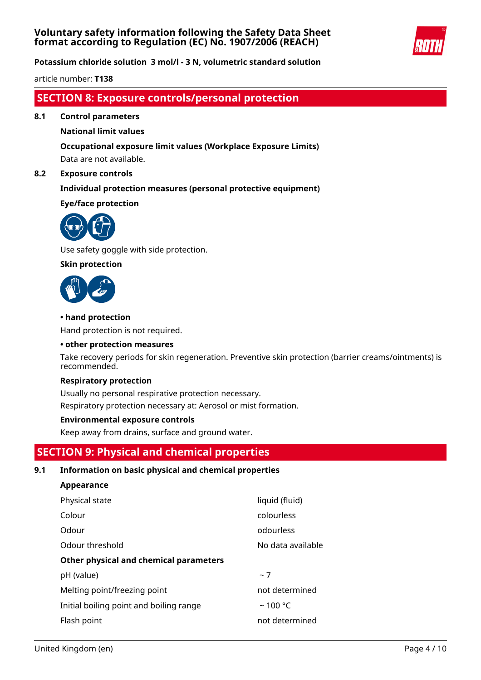

**Potassium chloride solution 3 mol/l - 3 N, volumetric standard solution**

article number: **T138**

## **SECTION 8: Exposure controls/personal protection**

**8.1 Control parameters**

## **National limit values**

## **Occupational exposure limit values (Workplace Exposure Limits)**

Data are not available.

## **8.2 Exposure controls**

## **Individual protection measures (personal protective equipment)**

## **Eye/face protection**



Use safety goggle with side protection.

## **Skin protection**



**Appearance**

## **• hand protection**

Hand protection is not required.

#### **• other protection measures**

Take recovery periods for skin regeneration. Preventive skin protection (barrier creams/ointments) is recommended.

#### **Respiratory protection**

Usually no personal respirative protection necessary. Respiratory protection necessary at: Aerosol or mist formation.

## **Environmental exposure controls**

Keep away from drains, surface and ground water.

## **SECTION 9: Physical and chemical properties**

## **9.1 Information on basic physical and chemical properties**

| Appearance                              |                   |
|-----------------------------------------|-------------------|
| Physical state                          | liquid (fluid)    |
| Colour                                  | colourless        |
| Odour                                   | odourless         |
| Odour threshold                         | No data available |
| Other physical and chemical parameters  |                   |
| pH (value)                              | ~1                |
| Melting point/freezing point            | not determined    |
| Initial boiling point and boiling range | $~100$ °C         |
| Flash point                             | not determined    |
|                                         |                   |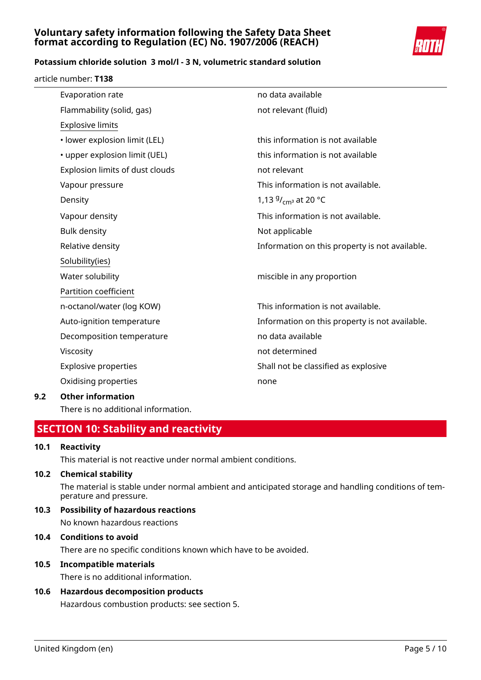

## **Potassium chloride solution 3 mol/l - 3 N, volumetric standard solution**

article number: **T138**

| Evaporation rate                | no data available                              |
|---------------------------------|------------------------------------------------|
| Flammability (solid, gas)       | not relevant (fluid)                           |
| <b>Explosive limits</b>         |                                                |
| · lower explosion limit (LEL)   | this information is not available              |
| • upper explosion limit (UEL)   | this information is not available              |
| Explosion limits of dust clouds | not relevant                                   |
| Vapour pressure                 | This information is not available.             |
| Density                         | 1,13 $9/$ <sub>cm</sub> at 20 °C               |
| Vapour density                  | This information is not available.             |
| <b>Bulk density</b>             | Not applicable                                 |
| Relative density                | Information on this property is not available. |
| Solubility(ies)                 |                                                |
| Water solubility                | miscible in any proportion                     |
| Partition coefficient           |                                                |
| n-octanol/water (log KOW)       | This information is not available.             |
| Auto-ignition temperature       | Information on this property is not available. |
| Decomposition temperature       | no data available                              |
| Viscosity                       | not determined                                 |
| <b>Explosive properties</b>     | Shall not be classified as explosive           |
| Oxidising properties            | none                                           |
| Othar information               |                                                |

## **9.2 Other information**

There is no additional information.

## **SECTION 10: Stability and reactivity**

## **10.1 Reactivity**

This material is not reactive under normal ambient conditions.

## **10.2 Chemical stability**

The material is stable under normal ambient and anticipated storage and handling conditions of temperature and pressure.

**10.3 Possibility of hazardous reactions** No known hazardous reactions

## **10.4 Conditions to avoid** There are no specific conditions known which have to be avoided.

## **10.5 Incompatible materials**

There is no additional information.

## **10.6 Hazardous decomposition products** Hazardous combustion products: see section 5.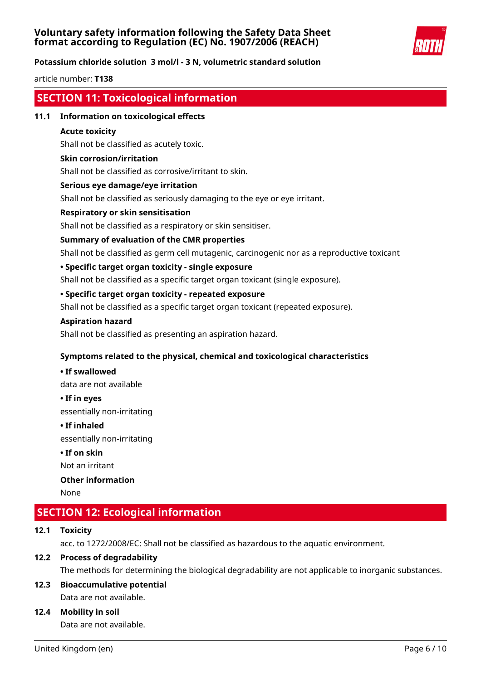

## **Potassium chloride solution 3 mol/l - 3 N, volumetric standard solution**

article number: **T138**

## **SECTION 11: Toxicological information**

## **11.1 Information on toxicological effects**

## **Acute toxicity**

Shall not be classified as acutely toxic.

#### **Skin corrosion/irritation**

Shall not be classified as corrosive/irritant to skin.

#### **Serious eye damage/eye irritation**

Shall not be classified as seriously damaging to the eye or eye irritant.

## **Respiratory or skin sensitisation**

Shall not be classified as a respiratory or skin sensitiser.

#### **Summary of evaluation of the CMR properties**

Shall not be classified as germ cell mutagenic, carcinogenic nor as a reproductive toxicant

#### **• Specific target organ toxicity - single exposure**

Shall not be classified as a specific target organ toxicant (single exposure).

## **• Specific target organ toxicity - repeated exposure**

Shall not be classified as a specific target organ toxicant (repeated exposure).

#### **Aspiration hazard**

Shall not be classified as presenting an aspiration hazard.

## **Symptoms related to the physical, chemical and toxicological characteristics**

# **• If swallowed**

data are not available

**• If in eyes**

essentially non-irritating

#### **• If inhaled**

essentially non-irritating

## **• If on skin**

Not an irritant

## **Other information**

None

## **SECTION 12: Ecological information**

## **12.1 Toxicity**

acc. to 1272/2008/EC: Shall not be classified as hazardous to the aquatic environment.

## **12.2 Process of degradability**

The methods for determining the biological degradability are not applicable to inorganic substances.

## **12.3 Bioaccumulative potential** Data are not available.

## **12.4 Mobility in soil**

Data are not available.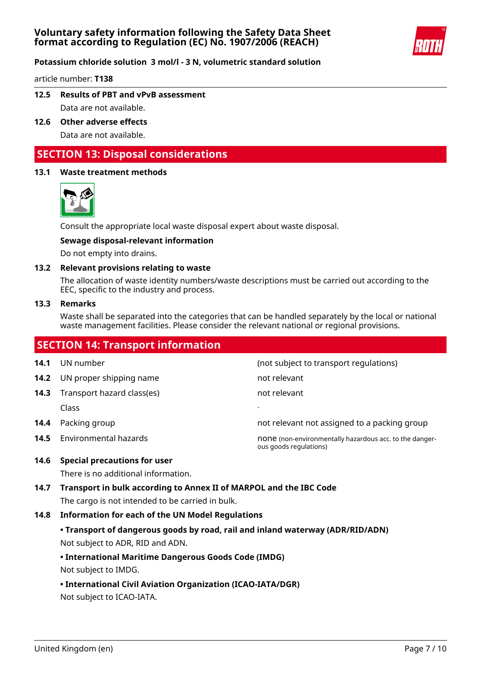

article number: **T138**

- **12.5 Results of PBT and vPvB assessment** Data are not available.
- **12.6 Other adverse effects** Data are not available.

## **SECTION 13: Disposal considerations**

## **13.1 Waste treatment methods**



Consult the appropriate local waste disposal expert about waste disposal.

## **Sewage disposal-relevant information**

Do not empty into drains.

#### **13.2 Relevant provisions relating to waste**

The allocation of waste identity numbers/waste descriptions must be carried out according to the EEC, specific to the industry and process.

#### **13.3 Remarks**

Waste shall be separated into the categories that can be handled separately by the local or national waste management facilities. Please consider the relevant national or regional provisions.

## **SECTION 14: Transport information 14.1** UN number **14.1** UN number **14.1** UN number **14.2** UN proper shipping name not relevant **14.3** Transport hazard class(es) not relevant Class - **14.4** Packing group **not relevant not assigned to a packing group 14.5** Environmental hazards **none (non-environmentally hazardous acc. to the danger**ous goods regulations) **14.6 Special precautions for user**

There is no additional information.

**14.7 Transport in bulk according to Annex II of MARPOL and the IBC Code** The cargo is not intended to be carried in bulk.

## **14.8 Information for each of the UN Model Regulations**

**• Transport of dangerous goods by road, rail and inland waterway (ADR/RID/ADN)** Not subject to ADR, RID and ADN.

## **• International Maritime Dangerous Goods Code (IMDG)**

Not subject to IMDG.

**• International Civil Aviation Organization (ICAO-IATA/DGR)**

Not subject to ICAO-IATA.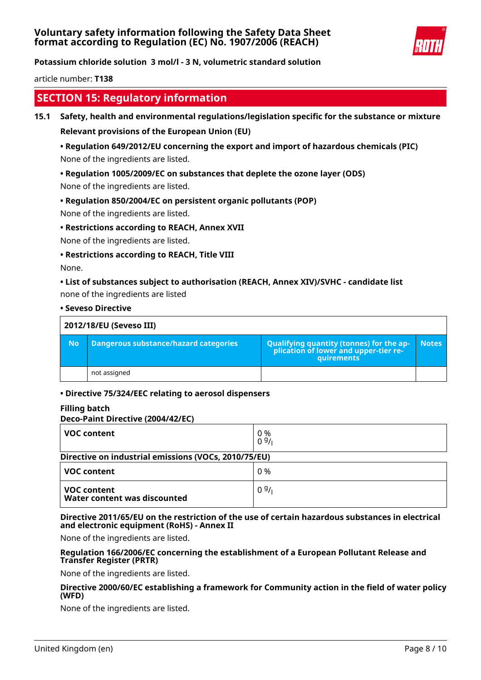

**Potassium chloride solution 3 mol/l - 3 N, volumetric standard solution**

article number: **T138**

## **SECTION 15: Regulatory information**

## **15.1 Safety, health and environmental regulations/legislation specific for the substance or mixture**

**Relevant provisions of the European Union (EU)**

## **• Regulation 649/2012/EU concerning the export and import of hazardous chemicals (PIC)** None of the ingredients are listed.

## **• Regulation 1005/2009/EC on substances that deplete the ozone layer (ODS)**

None of the ingredients are listed.

## **• Regulation 850/2004/EC on persistent organic pollutants (POP)**

None of the ingredients are listed.

## **• Restrictions according to REACH, Annex XVII**

None of the ingredients are listed.

#### **• Restrictions according to REACH, Title VIII**

None.

## **• List of substances subject to authorisation (REACH, Annex XIV)/SVHC - candidate list**

none of the ingredients are listed

#### **• Seveso Directive**

| 2012/18/EU (Seveso III) |                                       |                                                                                            |              |
|-------------------------|---------------------------------------|--------------------------------------------------------------------------------------------|--------------|
| <b>No</b>               | Dangerous substance/hazard categories | Qualifying quantity (tonnes) for the application of lower and upper-tier re-<br>quirements | <b>Notes</b> |
|                         | not assigned                          |                                                                                            |              |

## **• Directive 75/324/EEC relating to aerosol dispensers**

## **Filling batch**

#### **Deco-Paint Directive (2004/42/EC)**

| <b>VOC content</b>                                   | 0 %<br>09/1 |  |
|------------------------------------------------------|-------------|--|
| Directive on industrial emissions (VOCs, 2010/75/EU) |             |  |
| <b>VOC content</b>                                   | 0 %         |  |
| <b>VOC content</b><br>Water content was discounted   | 09/1        |  |

#### **Directive 2011/65/EU on the restriction of the use of certain hazardous substances in electrical and electronic equipment (RoHS) - Annex II**

None of the ingredients are listed.

#### **Regulation 166/2006/EC concerning the establishment of a European Pollutant Release and Transfer Register (PRTR)**

None of the ingredients are listed.

## **Directive 2000/60/EC establishing a framework for Community action in the field of water policy (WFD)**

None of the ingredients are listed.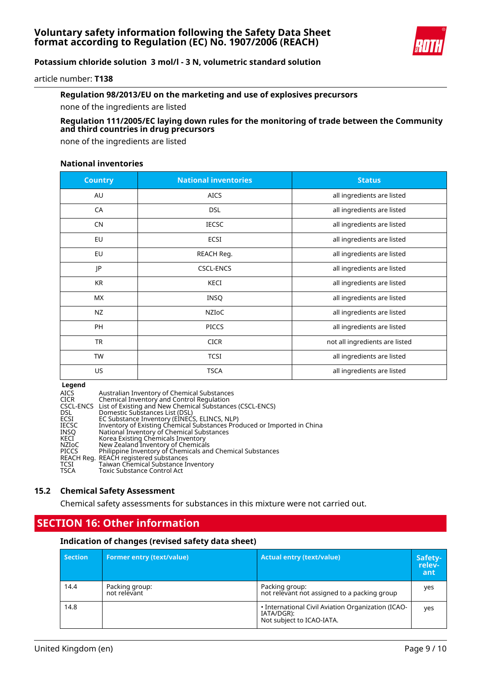

article number: **T138**

## **Regulation 98/2013/EU on the marketing and use of explosives precursors**

none of the ingredients are listed

## **Regulation 111/2005/EC laying down rules for the monitoring of trade between the Community and third countries in drug precursors**

none of the ingredients are listed

## **National inventories**

| <b>Country</b> | <b>National inventories</b> | <b>Status</b>                  |
|----------------|-----------------------------|--------------------------------|
| AU             | <b>AICS</b>                 | all ingredients are listed     |
| CA             | <b>DSL</b>                  | all ingredients are listed     |
| <b>CN</b>      | <b>IECSC</b>                | all ingredients are listed     |
| EU             | ECSI                        | all ingredients are listed     |
| EU             | REACH Reg.                  | all ingredients are listed     |
| JP             | <b>CSCL-ENCS</b>            | all ingredients are listed     |
| <b>KR</b>      | KECI                        | all ingredients are listed     |
| МX             | <b>INSQ</b>                 | all ingredients are listed     |
| <b>NZ</b>      | NZIoC                       | all ingredients are listed     |
| PH             | <b>PICCS</b>                | all ingredients are listed     |
| <b>TR</b>      | <b>CICR</b>                 | not all ingredients are listed |
| TW             | <b>TCSI</b>                 | all ingredients are listed     |
| US             | <b>TSCA</b>                 | all ingredients are listed     |

#### **Legend**

| <b>AICS</b>  | Australian Inventory of Chemical Substances                             |
|--------------|-------------------------------------------------------------------------|
| CICR         | Chemical Inventory and Control Regulation                               |
|              | CSCL-ENCS List of Existing and New Chemical Substances (CSCL-ENCS)      |
| <b>DSL</b>   | Domestic Substances List (DSL)                                          |
| ECSI         | EC Substance Inventory (EINECS, ELINCS, NLP)                            |
| <b>IECSC</b> | Inventory of Existing Chemical Substances Produced or Imported in China |
| INSO         | National Inventory of Chemical Substances                               |
| KECI         | Korea Existing Chemicals Inventory                                      |
| NZIoC        | New Zealand Inventory of Chemicals                                      |
| PICCS        | Philippine Inventory of Chemicals and Chemical Substances               |
|              | REACH Reg. REACH registered substances                                  |
| TCSI         | Taiwan Chemical Substance Inventory                                     |
| <b>TSCA</b>  | Toxic Substance Control Act                                             |
|              |                                                                         |

## **15.2 Chemical Safety Assessment**

Chemical safety assessments for substances in this mixture were not carried out.

## **SECTION 16: Other information**

#### **Indication of changes (revised safety data sheet)**

| <b>Section</b> | <b>Former entry (text/value)</b> | Actual entry (text/value)                                                                     | Safety-<br>relev-<br>ant |
|----------------|----------------------------------|-----------------------------------------------------------------------------------------------|--------------------------|
| 14.4           | Packing group:<br>not relevant   | Packing group:<br>not relevant not assigned to a packing group                                | yes                      |
| 14.8           |                                  | • International Civil Aviation Organization (ICAO-<br>IATA/DGR):<br>Not subject to ICAO-IATA. | yes                      |